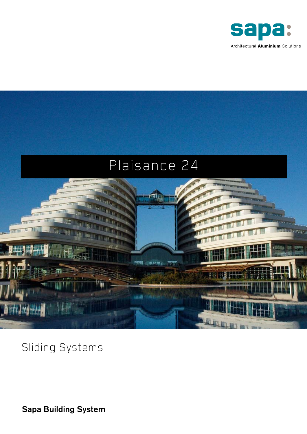



Sliding Systems

Sapa Building System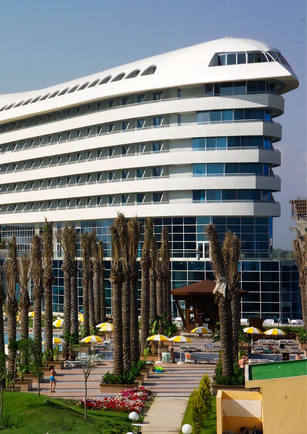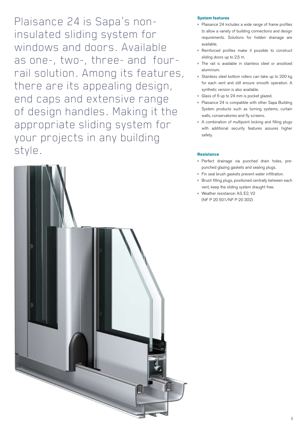Plaisance 24 is Sapa's noninsulated sliding system for windows and doors. Available as one-, two-, three- and fourrail solution. Among its features, there are its appealing design, end caps and extensive range of design handles. Making it the appropriate sliding system for your projects in any building style.



#### **System features**

- » Plaisance 24 includes a wide range of frame profiles to allow a variety of building connections and design requirements. Solutions for hidden drainage are available.
- » Reinforced profiles make it possible to construct sliding doors up to 2,5 m.
- » The rail is available in stainless steel or anodised aluminium.
- » Stainless steel bottom rollers can take up to 200 kg for each vent and still ensure smooth operation. A synthetic version is also available.
- » Glass of 6 up to 24 mm is pocket glazed.
- » Plaisance 24 is compatible with other Sapa Building System products such as turning systems, curtain walls, conservatories and fly screens.
- » A combination of multipoint locking and filling plugs with additional security features assures higher safety.

#### **Resistance**

- » Perfect drainage via punched drain holes, prepunched glazing gaskets and sealing plugs.
- » Fin seal brush gaskets prevent water infiltration.
- » Brush filling plugs, positioned centrally between each vent, keep the sliding system draught free.
- » Weather resistance: A3, E2, V2 (NF P 20 501/NF P 20 302)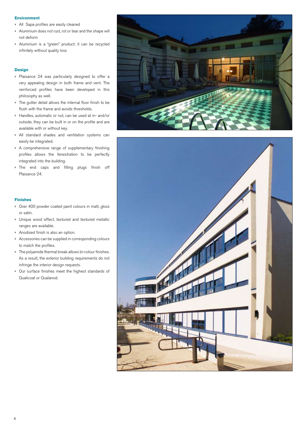#### **Environment**

- » All Sapa profiles are easily cleaned
- » Aluminium does not rust, rot or tear and the shape will not deform
- » Aluminium is a "green" product: it can be recycled infinitely without quality loss

#### **Design**

- » Plaisance 24 was particularly designed to offer a very appealing design in both frame and vent. The reinforced profiles have been developed in this philosophy as well.
- » The gutter detail allows the internal floor finish to be flush with the frame and avoids thresholds.
- » Handles, automatic or not, can be used at in- and/or outside, they can be built in or on the profile and are available with or without key.
- » All standard shades and ventilation systems can easily be integrated.
- » A comprehensive range of supplementary finishing profiles allows the fenestration to be perfectly integrated into the building.
- » The end caps and filling plugs finish off Plaisance 24.

## **Finishes**

- » Over 400 powder coated paint colours in matt, gloss or satin.
- » Unique wood effect, textured and textured metallic ranges are available.
- » Anodised finish is also an option.
- » Accessories can be supplied in corresponding colours to match the profiles.
- » The polyamide thermal break allows bi-colour finishes. As a result, the exterior building requirements do not infringe the interior design requests.
- » Our surface finishes meet the highest standards of Qualicoat or Qualanod.



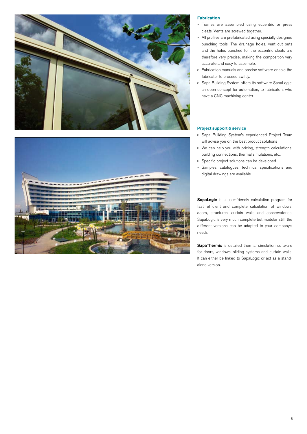



#### **Fabrication**

- » Frames are assembled using eccentric or press cleats. Vents are screwed together.
- » All profiles are prefabricated using specially designed punching tools. The drainage holes, vent cut outs and the holes punched for the eccentric cleats are therefore very precise, making the composition very accurate and easy to assemble.
- » Fabrication manuals and precise software enable the fabricator to proceed swiftly.
- » Sapa Building System offers its software SapaLogic, an open concept for automation, to fabricators who have a CNC machining center.

#### **Project support & service**

- » Sapa Building System's experienced Project Team will advise you on the best product solutions
- » We can help you with pricing, strength calculations, building connections, thermal simulations, etc..
- » Specific project solutions can be developed
- » Samples, catalogues, technical specifications and digital drawings are available

SapaLogic is a user-friendly calculation program for fast, efficient and complete calculation of windows, doors, structures, curtain walls and conservatories. SapaLogic is very much complete but modular still: the different versions can be adapted to your company's needs.

SapaThermic is detailed thermal simulation software for doors, windows, sliding systems and curtain walls. It can either be linked to SapaLogic or act as a standalone version.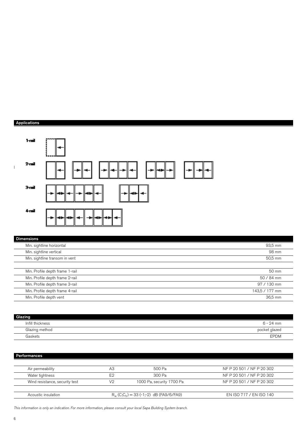### Applications



| <b>Dimensions</b>               |                |
|---------------------------------|----------------|
| Min. sightline horizontal       | 93,5 mm        |
| Min. sightline vertical         | 98 mm          |
| Min. sightline transom in vent  | 50,5 mm        |
|                                 |                |
| Min. Profile depth frame 1-rail | 50 mm          |
| Min. Profile depth frame 2-rail | $50/84$ mm     |
| Min. Profile depth frame 3-rail | 97 / 130 mm    |
| Min. Profile depth frame 4-rail | 143,5 / 177 mm |
| Min. Profile depth vent         | 36,5 mm        |
|                                 |                |

| Glazing          |               |
|------------------|---------------|
| Infill thickness | $6 - 24$ mm   |
| Glazing method   | pocket glazed |
| Gaskets          | EPDM          |

# Performances

| Air permeability               | ΑЗ                                         | 500 Pa                    | NF P 20 501 / NF P 20 302 |
|--------------------------------|--------------------------------------------|---------------------------|---------------------------|
| Water tightness                | E2                                         | 300 Pa                    | NF P 20 501 / NF P 20 302 |
| Wind resistance, security test | V2                                         | 1000 Pa, security 1700 Pa | NF P 20 501 / NF P 20 302 |
|                                |                                            |                           |                           |
| Acoustic insulation            | $R_w(C;C_{1r}) = 33(-1;-2)$ dB (FA9/6/FA9) |                           | EN ISO 717 / EN ISO 140   |

*This information is only an indication. For more information, please consult your local Sapa Building System branch.*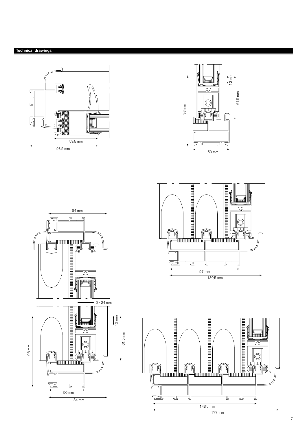## Technical drawings